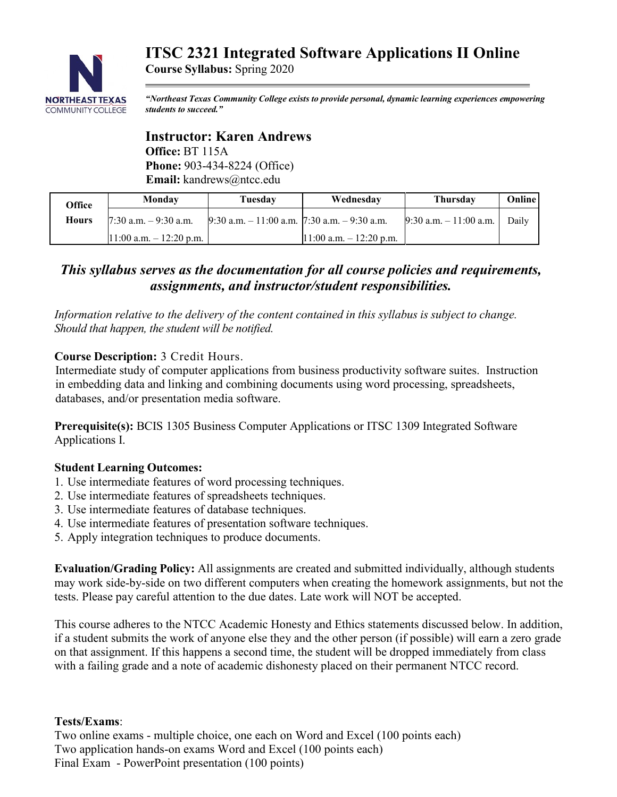# **NORTHEAST TEXAS COMMUNITY COLLEGE**

# **ITSC 2321 Integrated Software Applications II Online**

**Course Syllabus:** Spring 2020

*"Northeast Texas Community College exists to provide personal, dynamic learning experiences empowering students to succeed."*

# **Instructor: Karen Andrews Office:** BT 115A **Phone:** 903-434-8224 (Office) **Email:** kandrews@ntcc.edu

| Office       | Monday                     | Tuesdav                                            | Wednesday                  | <b>Thursday</b>           | <b>Online</b> |
|--------------|----------------------------|----------------------------------------------------|----------------------------|---------------------------|---------------|
| <b>Hours</b> | $7:30$ a.m. $-9:30$ a.m.   | $9:30$ a.m. $-11:00$ a.m. $7:30$ a.m. $-9:30$ a.m. |                            | $9:30$ a.m. $-11:00$ a.m. | Daily         |
|              | $11:00$ a.m. $-12:20$ p.m. |                                                    | $11:00$ a.m. $-12:20$ p.m. |                           |               |

# *This syllabus serves as the documentation for all course policies and requirements, assignments, and instructor/student responsibilities.*

*Information relative to the delivery of the content contained in this syllabus is subject to change. Should that happen, the student will be notified.*

# **Course Description:** 3 Credit Hours.

Intermediate study of computer applications from business productivity software suites. Instruction in embedding data and linking and combining documents using word processing, spreadsheets, databases, and/or presentation media software.

**Prerequisite(s):** BCIS 1305 Business Computer Applications or ITSC 1309 Integrated Software Applications I.

# **Student Learning Outcomes:**

- 1. Use intermediate features of word processing techniques.
- 2. Use intermediate features of spreadsheets techniques.
- 3. Use intermediate features of database techniques.
- 4. Use intermediate features of presentation software techniques.
- 5. Apply integration techniques to produce documents.

**Evaluation/Grading Policy:** All assignments are created and submitted individually, although students may work side-by-side on two different computers when creating the homework assignments, but not the tests. Please pay careful attention to the due dates. Late work will NOT be accepted.

This course adheres to the NTCC Academic Honesty and Ethics statements discussed below. In addition, if a student submits the work of anyone else they and the other person (if possible) will earn a zero grade on that assignment. If this happens a second time, the student will be dropped immediately from class with a failing grade and a note of academic dishonesty placed on their permanent NTCC record.

# **Tests/Exams**:

Two online exams - multiple choice, one each on Word and Excel (100 points each) Two application hands-on exams Word and Excel (100 points each) Final Exam - PowerPoint presentation (100 points)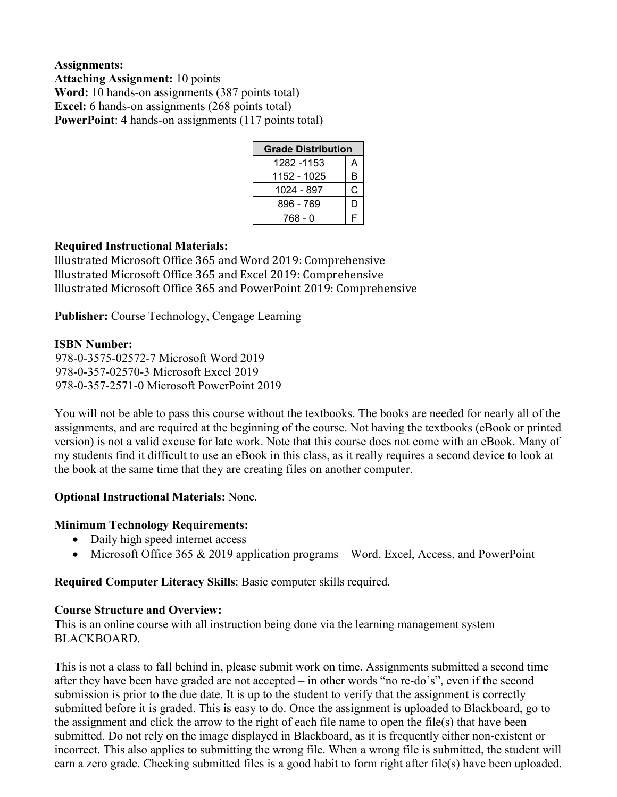# **Assignments: Attaching Assignment:** 10 points **Word:** 10 hands-on assignments (387 points total) **Excel:** 6 hands-on assignments (268 points total) **PowerPoint:** 4 hands-on assignments (117 points total)

| <b>Grade Distribution</b> |    |  |  |  |
|---------------------------|----|--|--|--|
| 1282 -1153                | А  |  |  |  |
| 1152 - 1025               | В  |  |  |  |
| 1024 - 897                | C  |  |  |  |
| 896 - 769                 | I) |  |  |  |
| 768 - 0                   | F  |  |  |  |

# **Required Instructional Materials:**

Illustrated Microsoft Office 365 and Word 2019: Comprehensive Illustrated Microsoft Office 365 and Excel 2019: Comprehensive Illustrated Microsoft Office 365 and PowerPoint 2019: Comprehensive

**Publisher:** Course Technology, Cengage Learning

#### **ISBN Number:**

978-0-3575-02572-7 Microsoft Word 2019 978-0-357-02570-3 Microsoft Excel 2019 978-0-357-2571-0 Microsoft PowerPoint 2019

You will not be able to pass this course without the textbooks. The books are needed for nearly all of the assignments, and are required at the beginning of the course. Not having the textbooks (eBook or printed version) is not a valid excuse for late work. Note that this course does not come with an eBook. Many of my students find it difficult to use an eBook in this class, as it really requires a second device to look at the book at the same time that they are creating files on another computer.

#### **Optional Instructional Materials:** None.

#### **Minimum Technology Requirements:**

- Daily high speed internet access
- Microsoft Office 365 & 2019 application programs Word, Excel, Access, and PowerPoint

**Required Computer Literacy Skills**: Basic computer skills required.

#### **Course Structure and Overview:**

This is an online course with all instruction being done via the learning management system BLACKBOARD.

This is not a class to fall behind in, please submit work on time. Assignments submitted a second time after they have been have graded are not accepted – in other words "no re-do's", even if the second submission is prior to the due date. It is up to the student to verify that the assignment is correctly submitted before it is graded. This is easy to do. Once the assignment is uploaded to Blackboard, go to the assignment and click the arrow to the right of each file name to open the file(s) that have been submitted. Do not rely on the image displayed in Blackboard, as it is frequently either non-existent or incorrect. This also applies to submitting the wrong file. When a wrong file is submitted, the student will earn a zero grade. Checking submitted files is a good habit to form right after file(s) have been uploaded.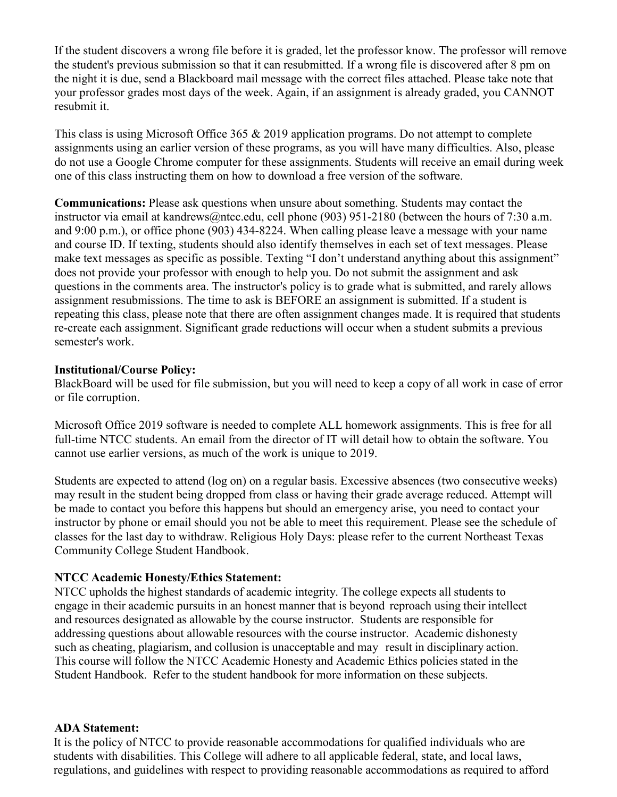If the student discovers a wrong file before it is graded, let the professor know. The professor will remove the student's previous submission so that it can resubmitted. If a wrong file is discovered after 8 pm on the night it is due, send a Blackboard mail message with the correct files attached. Please take note that your professor grades most days of the week. Again, if an assignment is already graded, you CANNOT resubmit it.

This class is using Microsoft Office 365 & 2019 application programs. Do not attempt to complete assignments using an earlier version of these programs, as you will have many difficulties. Also, please do not use a Google Chrome computer for these assignments. Students will receive an email during week one of this class instructing them on how to download a free version of the software.

**Communications:** Please ask questions when unsure about something. Students may contact the instructor via email at kandrews@ntcc.edu, cell phone (903) 951-2180 (between the hours of 7:30 a.m. and 9:00 p.m.), or office phone (903) 434-8224. When calling please leave a message with your name and course ID. If texting, students should also identify themselves in each set of text messages. Please make text messages as specific as possible. Texting "I don't understand anything about this assignment" does not provide your professor with enough to help you. Do not submit the assignment and ask questions in the comments area. The instructor's policy is to grade what is submitted, and rarely allows assignment resubmissions. The time to ask is BEFORE an assignment is submitted. If a student is repeating this class, please note that there are often assignment changes made. It is required that students re-create each assignment. Significant grade reductions will occur when a student submits a previous semester's work.

#### **Institutional/Course Policy:**

BlackBoard will be used for file submission, but you will need to keep a copy of all work in case of error or file corruption.

Microsoft Office 2019 software is needed to complete ALL homework assignments. This is free for all full-time NTCC students. An email from the director of IT will detail how to obtain the software. You cannot use earlier versions, as much of the work is unique to 2019.

Students are expected to attend (log on) on a regular basis. Excessive absences (two consecutive weeks) may result in the student being dropped from class or having their grade average reduced. Attempt will be made to contact you before this happens but should an emergency arise, you need to contact your instructor by phone or email should you not be able to meet this requirement. Please see the schedule of classes for the last day to withdraw. Religious Holy Days: please refer to the current Northeast Texas Community College Student Handbook.

#### **NTCC Academic Honesty/Ethics Statement:**

NTCC upholds the highest standards of academic integrity. The college expects all students to engage in their academic pursuits in an honest manner that is beyond reproach using their intellect and resources designated as allowable by the course instructor. Students are responsible for addressing questions about allowable resources with the course instructor. Academic dishonesty such as cheating, plagiarism, and collusion is unacceptable and may result in disciplinary action. This course will follow the NTCC Academic Honesty and Academic Ethics policies stated in the Student Handbook. Refer to the student handbook for more information on these subjects.

#### **ADA Statement:**

It is the policy of NTCC to provide reasonable accommodations for qualified individuals who are students with disabilities. This College will adhere to all applicable federal, state, and local laws, regulations, and guidelines with respect to providing reasonable accommodations as required to afford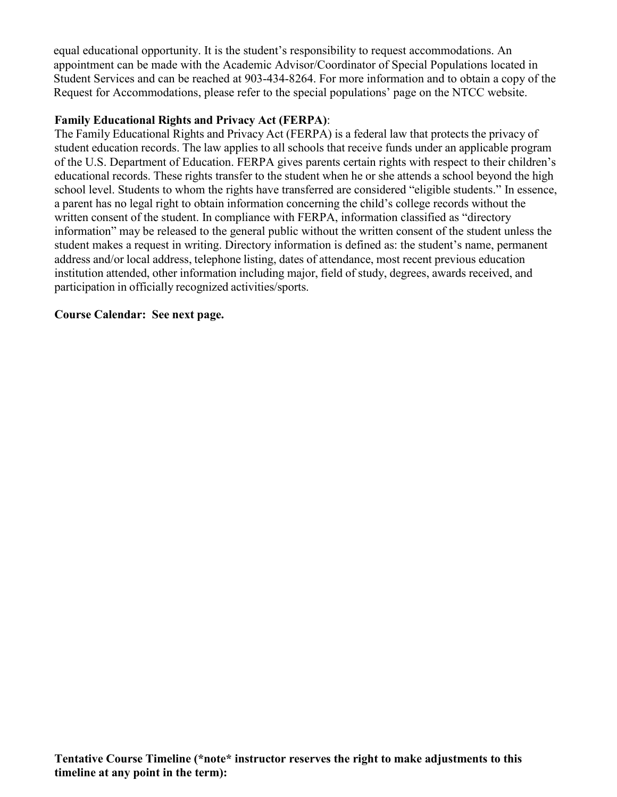equal educational opportunity. It is the student's responsibility to request accommodations. An appointment can be made with the Academic Advisor/Coordinator of Special Populations located in Student Services and can be reached at 903-434-8264. For more information and to obtain a copy of the Request for Accommodations, please refer to the special populations' page on the NTCC websit[e.](http://www.ntcc.edu/index.php?module=Pagesetter&func=viewpub&tid=111&pid=1) 

# **Family Educational Rights and Privacy Act (FERPA)**:

The Family Educational Rights and Privacy Act (FERPA) is a federal law that protects the privacy of student education records. The law applies to all schools that receive funds under an applicable program of the U.S. Department of Education. FERPA gives parents certain rights with respect to their children's educational records. These rights transfer to the student when he or she attends a school beyond the high school level. Students to whom the rights have transferred are considered "eligible students." In essence, a parent has no legal right to obtain information concerning the child's college records without the written consent of the student. In compliance with FERPA, information classified as "directory information" may be released to the general public without the written consent of the student unless the student makes a request in writing. Directory information is defined as: the student's name, permanent address and/or local address, telephone listing, dates of attendance, most recent previous education institution attended, other information including major, field of study, degrees, awards received, and participation in officially recognized activities/sports.

# **Course Calendar: See next page.**